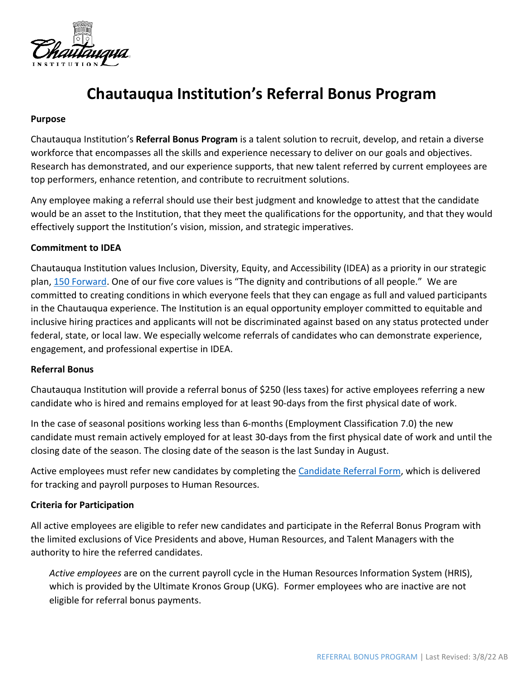

# **Chautauqua Institution's Referral Bonus Program**

#### **Purpose**

Chautauqua Institution's **Referral Bonus Program** is a talent solution to recruit, develop, and retain a diverse workforce that encompasses all the skills and experience necessary to deliver on our goals and objectives. Research has demonstrated, and our experience supports, that new talent referred by current employees are top performers, enhance retention, and contribute to recruitment solutions.

Any employee making a referral should use their best judgment and knowledge to attest that the candidate would be an asset to the Institution, that they meet the qualifications for the opportunity, and that they would effectively support the Institution's vision, mission, and strategic imperatives.

### **Commitment to IDEA**

Chautauqua Institution values Inclusion, Diversity, Equity, and Accessibility (IDEA) as a priority in our strategic plan, [150 Forward](https://150fwd.chq.org/). One of our five core values is "The dignity and contributions of all people." We are committed to creating conditions in which everyone feels that they can engage as full and valued participants in the Chautauqua experience. The Institution is an equal opportunity employer committed to equitable and inclusive hiring practices and applicants will not be discriminated against based on any status protected under federal, state, or local law. We especially welcome referrals of candidates who can demonstrate experience, engagement, and professional expertise in IDEA.

### **Referral Bonus**

Chautauqua Institution will provide a referral bonus of \$250 (less taxes) for active employees referring a new candidate who is hired and remains employed for at least 90-days from the first physical date of work.

In the case of seasonal positions working less than 6-months (Employment Classification 7.0) the new candidate must remain actively employed for at least 30-days from the first physical date of work and until the closing date of the season. The closing date of the season is the last Sunday in August.

Active employees must refer new candidates by completing th[e Candidate Referral Form,](https://forms.office.com/Pages/DesignPage.aspx#FormId=riX8Ub11DUSa1oUnccJoXA-F3GKyD61Ht4qmeRyGOoFUMEtVTU9QREQyTzZRSjAwQzk0UFhBOU1aWS4u&Token=bbe972213fc94d93839b6dd7a8c2a32c) which is delivered for tracking and payroll purposes to Human Resources.

### **Criteria for Participation**

All active employees are eligible to refer new candidates and participate in the Referral Bonus Program with the limited exclusions of Vice Presidents and above, Human Resources, and Talent Managers with the authority to hire the referred candidates.

*Active employees* are on the current payroll cycle in the Human Resources Information System (HRIS), which is provided by the Ultimate Kronos Group (UKG). Former employees who are inactive are not eligible for referral bonus payments.